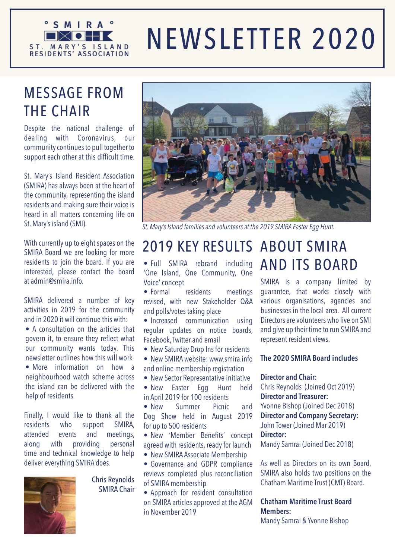

# NEWSLETTER 2020

## MESSAGE FROM THE CHAIR

Despite the national challenge of dealing with Coronavirus, our community continues to pull together to support each other at this difficult time.

St. Mary's Island Resident Association (SMIRA) has always been at the heart of the community, representing the island residents and making sure their voice is heard in all matters concerning life on St. Mary's island (SMI).

With currently up to eight spaces on the SMIRA Board we are looking for more residents to join the board. If you are interested, please contact the board at admin@smira.info.

SMIRA delivered a number of key activities in 2019 for the community and in 2020 it will continue this with:

- A consultation on the articles that govern it, to ensure they reflect what our community wants today. This newsletter outlines how this will work
- More information on how a neighbourhood watch scheme across the island can be delivered with the help of residents

Finally, I would like to thank all the residents who support SMIRA, attended events and meetings, along with providing personal time and technical knowledge to help deliver everything SMIRA does.



Chris Reynolds SMIRA Chair



*St. Mary's Island families and volunteers at the 2019 SMIRA Easter Egg Hunt.*

#### ABOUT SMIRA 2019 KEY RESULTS

• Full SMIRA rebrand including 'One Island, One Community, One Voice' concept

• Formal residents meetings revised, with new Stakeholder Q&A and polls/votes taking place

• Increased communication using regular updates on notice boards, Facebook, Twitter and email

- New Saturday Drop Ins for residents
- New SMIRA website: www.smira.info and online membership registration
- New Sector Representative initiative

• New Easter Egg Hunt held in April 2019 for 100 residents

• New Summer Picnic and Dog Show held in August 2019 for up to 500 residents

• New 'Member Benefits' concept agreed with residents, ready for launch • New SMIRA Associate Membership

• Governance and GDPR compliance reviews completed plus reconciliation of SMIRA membership

• Approach for resident consultation on SMIRA articles approved at the AGM in November 2019

# AND ITS BOARD

SMIRA is a company limited by guarantee, that works closely with various organisations, agencies and businesses in the local area. All current Directors are volunteers who live on SMI and give up their time to run SMIRA and represent resident views.

#### **The 2020 SMIRA Board includes**

#### **Director and Chair:**

Chris Reynolds (Joined Oct 2019) **Director and Treasurer:**  Yvonne Bishop (Joined Dec 2018) **Director and Company Secretary:**  John Tower (Joined Mar 2019)

**Director:** 

Mandy Samrai (Joined Dec 2018)

As well as Directors on its own Board, SMIRA also holds two positions on the Chatham Maritime Trust (CMT) Board.

#### **Chatham Maritime Trust Board Members:**

Mandy Samrai & Yvonne Bishop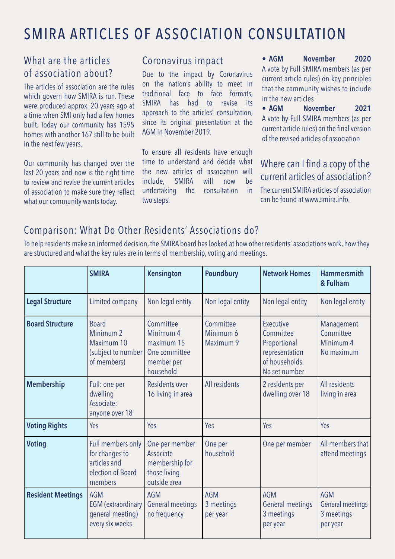## SMIRA ARTICLES OF ASSOCIATION CONSULTATION

#### What are the articles of association about?

The articles of association are the rules which govern how SMIRA is run. These were produced approx. 20 years ago at a time when SMI only had a few homes built. Today our community has 1595 homes with another 167 still to be built in the next few years.

Our community has changed over the last 20 years and now is the right time to review and revise the current articles of association to make sure they reflect what our community wants today.

#### Coronavirus impact

Due to the impact by Coronavirus on the nation's ability to meet in traditional face to face formats, SMIRA has had to revise its approach to the articles' consultation, since its original presentation at the AGM in November 2019.

To ensure all residents have enough time to understand and decide what the new articles of association will include, SMIRA will now be undertaking the consultation in two steps.

**• AGM November 2020** A vote by Full SMIRA members (as per current article rules) on key principles that the community wishes to include in the new articles

**• AGM November 2021**  A vote by Full SMIRA members (as per current article rules) on the final version of the revised articles of association

#### Where can I find a copy of the current articles of association?

The current SMIRA articles of association can be found at www.smira.info.

## Comparison: What Do Other Residents' Associations do?

To help residents make an informed decision, the SMIRA board has looked at how other residents' associations work, how they are structured and what the key rules are in terms of membership, voting and meetings.

|                          | <b>SMIRA</b>                                                                            | <b>Kensington</b>                                                                | <b>Poundbury</b>                     | <b>Network Homes</b>                                                                        | <b>Hammersmith</b><br>& Fulham                     |
|--------------------------|-----------------------------------------------------------------------------------------|----------------------------------------------------------------------------------|--------------------------------------|---------------------------------------------------------------------------------------------|----------------------------------------------------|
| <b>Legal Structure</b>   | Limited company                                                                         | Non legal entity                                                                 | Non legal entity                     | Non legal entity                                                                            | Non legal entity                                   |
| <b>Board Structure</b>   | <b>Board</b><br>Minimum <sub>2</sub><br>Maximum 10<br>(subject to number<br>of members) | Committee<br>Minimum 4<br>maximum 15<br>One committee<br>member per<br>household | Committee<br>Minimum 6<br>Maximum 9  | Executive<br>Committee<br>Proportional<br>representation<br>of households.<br>No set number | Management<br>Committee<br>Minimum 4<br>No maximum |
| <b>Membership</b>        | Full: one per<br>dwelling<br>Associate:<br>anyone over 18                               | Residents over<br>16 living in area                                              | All residents                        | 2 residents per<br>dwelling over 18                                                         | All residents<br>living in area                    |
| <b>Voting Rights</b>     | Yes                                                                                     | Yes                                                                              | Yes                                  | Yes                                                                                         | Yes                                                |
| <b>Voting</b>            | Full members only<br>for changes to<br>articles and<br>election of Board<br>members     | One per member<br>Associate<br>membership for<br>those living<br>outside area    | One per<br>household                 | One per member                                                                              | All members that<br>attend meetings                |
| <b>Resident Meetings</b> | <b>AGM</b><br><b>EGM</b> (extraordinary<br>general meeting)<br>every six weeks          | <b>AGM</b><br>General meetings<br>no frequency                                   | <b>AGM</b><br>3 meetings<br>per year | AGM<br>General meetings<br>3 meetings<br>per year                                           | AGM<br>General meetings<br>3 meetings<br>per year  |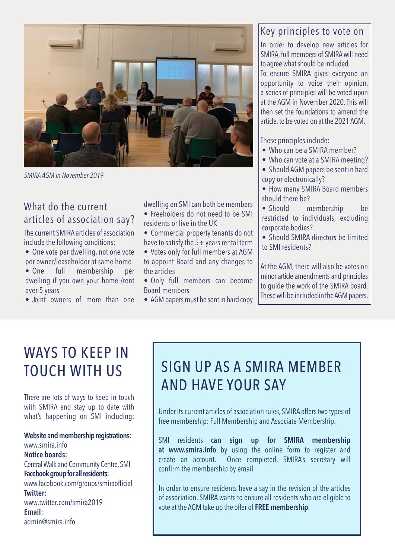

*SMIRA AGM in November 2019*

#### What do the current articles of association say?

The current SMIRA articles of association include the following conditions:

- One vote per dwelling, not one vote per owner/leaseholder at same home
- One full membership per dwelling if you own your home /rent over 5 years
- Joint owners of more than one

dwelling on SMI can both be members

- Freeholders do not need to be SMI residents or live in the UK
- Commercial property tenants do not have to satisfy the 5+ years rental term
- Votes only for full members at AGM to appoint Board and any changes to the articles
- Only full members can become Board members
- AGM papers must be sent in hard copy

### Key principles to vote on

In order to develop new articles for SMIRA, full members of SMIRA will need to agree what should be included.

To ensure SMIRA gives everyone an opportunity to voice their opinion, a series of principles will be voted upon at the AGM in November 2020. This will then set the foundations to amend the article, to be voted on at the 2021 AGM.

These principles include:

- Who can be a SMIRA member?
- Who can vote at a SMIRA meeting?

• Should AGM papers be sent in hard copy or electronically?

- How many SMIRA Board members should there be?
- Should membership be restricted to individuals, excluding corporate bodies?
- Should SMIRA directors be limited to SMI residents?

At the AGM, there will also be votes on minor article amendments and principles to guide the work of the SMIRA board. These will be included in the AGM papers.

## WAYS TO KEEP IN TOUCH WITH US

There are lots of ways to keep in touch with SMIRA and stay up to date with what's happening on SMI including:

**Website and membership registrations:** www.smira.info **Notice boards:** Central Walk and Community Centre, SMI **Facebook group for all residents:**  www.facebook.com/groups/smiraofficial **Twitter:** www.twitter.com/smira2019 **Email:** admin@smira.info

# SIGN UP AS A SMIRA MEMBER AND HAVE YOUR SAY

Under its current articles of association rules, SMIRA offers two types of free membership: Full Membership and Associate Membership.

SMI residents **can sign up for SMIRA membership at www.smira.info** by using the online form to register and create an account. Once completed, SMIRA's secretary will confirm the membership by email.

In order to ensure residents have a say in the revision of the articles of association, SMIRA wants to ensure all residents who are eligible to vote at the AGM take up the offer of **FREE membership**.